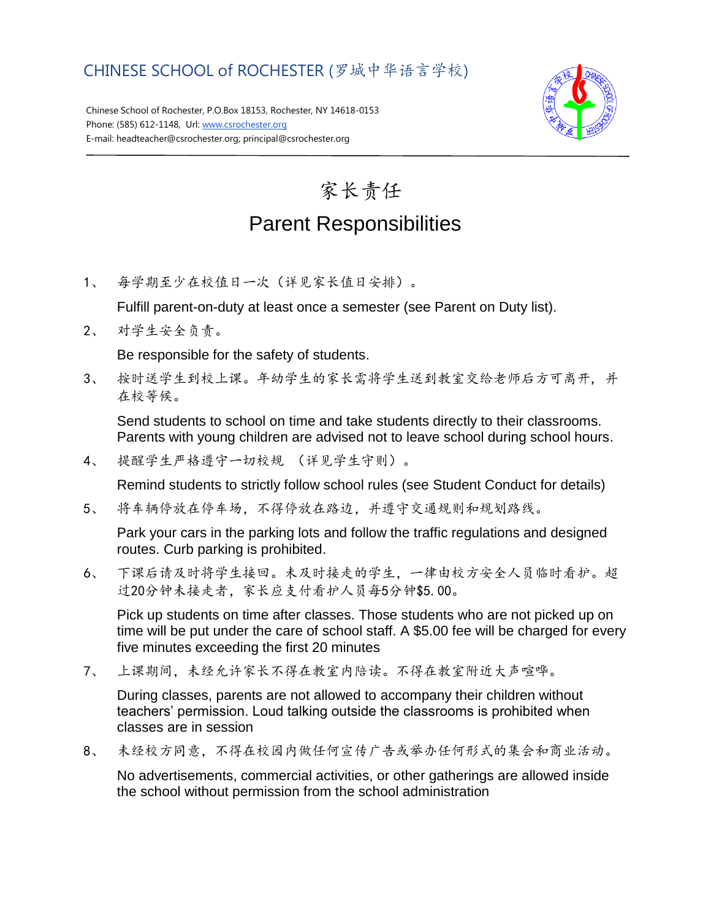## CHINESE SCHOOL of ROCHESTER (罗城中华语言学校)

Chinese School of Rochester, P.O.Box 18153, Rochester, NY 14618-0153 Phone: (585) 612-1148, Url[: www.csrochester.org](http://www.csrochester.org/) E-mail: headteacher@csrochester.org; principal@csrochester.org



## 家长责任 Parent Responsibilities

1、 每学期至少在校值日一次(详见家长值日安排)。

Fulfill parent-on-duty at least once a semester (see Parent on Duty list).

2、 对学生安全负责。

Be responsible for the safety of students.

3、 按时送学生到校上课。年幼学生的家长需将学生送到教室交给老师后方可离开, 并 在校等候。

Send students to school on time and take students directly to their classrooms. Parents with young children are advised not to leave school during school hours.

4、 提醒学生严格遵守一切校规 (详见学生守则)。

Remind students to strictly follow school rules (see Student Conduct for details)

5、 将车辆停放在停车场,不得停放在路边,并遵守交通规则和规划路线。

Park your cars in the parking lots and follow the traffic regulations and designed routes. Curb parking is prohibited.

6、 下课后请及时将学生接回。未及时接走的学生,一律由校方安全人员临时看护。超 过20分钟未接走者,家长应支付看护人员每5分钟\$5.00。

Pick up students on time after classes. Those students who are not picked up on time will be put under the care of school staff. A \$5.00 fee will be charged for every five minutes exceeding the first 20 minutes

7、 上课期间,未经允许家长不得在教室内陪读。不得在教室附近大声喧哗。

During classes, parents are not allowed to accompany their children without teachers' permission. Loud talking outside the classrooms is prohibited when classes are in session

8、 未经校方同意,不得在校园内做任何宣传广告或举办任何形式的集会和商业活动。

No advertisements, commercial activities, or other gatherings are allowed inside the school without permission from the school administration